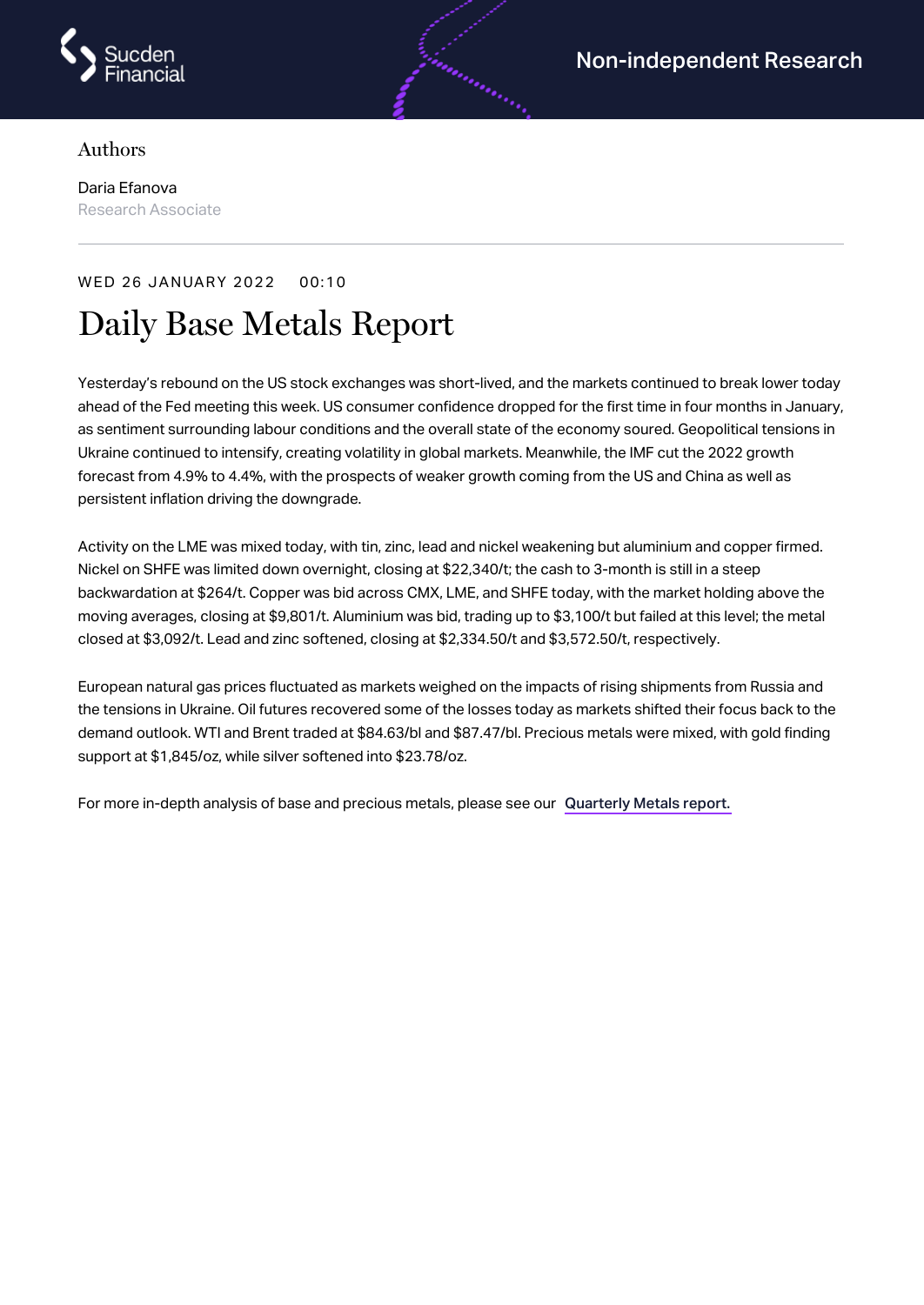

## Authors

Daria Efanova Research Associate

## WED 26 JANUARY 2022 00:10

## Daily Base Metals Report

Yesterday's rebound on the US stock exchanges was short-lived, and the markets continued to break lower today ahead of the Fed meeting this week. US consumer confidence dropped for the first time in four months in January, as sentiment surrounding labour conditions and the overall state of the economy soured. Geopolitical tensions in Ukraine continued to intensify, creating volatility in global markets. Meanwhile, the IMF cut the 2022 growth forecast from 4.9% to 4.4%, with the prospects of weaker growth coming from the US and China as well as persistent inflation driving the downgrade.

androning

Activity on the LME was mixed today, with tin, zinc, lead and nickel weakening but aluminium and copper firmed. Nickel on SHFE was limited down overnight, closing at \$22,340/t; the cash to 3-month is still in a steep backwardation at \$264/t. Copper was bid across CMX, LME, and SHFE today, with the market holding above the moving averages, closing at \$9,801/t. Aluminium was bid, trading up to \$3,100/t but failed at this level; the metal closed at \$3,092/t. Lead and zinc softened, closing at \$2,334.50/t and \$3,572.50/t, respectively.

European natural gas prices fluctuated as markets weighed on the impacts of rising shipments from Russia and the tensions in Ukraine. Oil futures recovered some of the losses today as markets shifted their focus back to the demand outlook. WTI and Brent traded at \$84.63/bl and \$87.47/bl. Precious metals were mixed, with gold finding support at \$1,845/oz, while silver softened into \$23.78/oz.

For more in-depth analysis of base and precious metals, please see our [Quarterly](https://www.sucdenfinancial.com/en/reports/quarterly-metals/qmr-q4-2021/) Metals report.